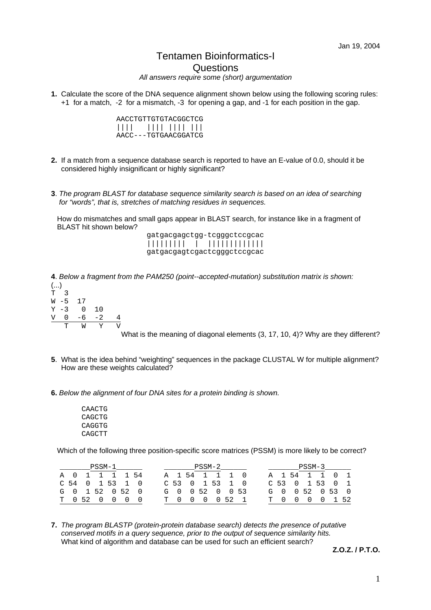## Tentamen Bioinformatics-I **Questions**

*All answers require some (short) argumentation* 

**1.** Calculate the score of the DNA sequence alignment shown below using the following scoring rules: +1 for a match, -2 for a mismatch, -3 for opening a gap, and -1 for each position in the gap.

| AACCTGTTGTGTACGGCTCG |
|----------------------|
|                      |
| AACC---TGTGAACGGATCG |

- **2.** If a match from a sequence database search is reported to have an E-value of 0.0, should it be considered highly insignificant or highly significant?
- **3**. *The program BLAST for database sequence similarity search is based on an idea of searching for "words", that is, stretches of matching residues in sequences.*

 How do mismatches and small gaps appear in BLAST search, for instance like in a fragment of BLAST hit shown below?

| gatgacgagctgg-tcgggctccgcac |
|-----------------------------|
|                             |
| gatgacgagtcgactcgggctccgcac |

**4**. *Below a fragment from the PAM250 (point--accepted-mutation) substitution matrix is shown:*

|           |      |    |     | '' |
|-----------|------|----|-----|----|
|           | т    | W  | Y   |    |
| V         | Ω    | -6 | - 2 | 4  |
| Υ         | -3   | O  | 10  |    |
| W         | $-5$ | 17 |     |    |
| $\bar{T}$ | 3    |    |     |    |
| ()        |      |    |     |    |

What is the meaning of diagonal elements (3, 17, 10, 4)? Why are they different?

- **5**. What is the idea behind "weighting" sequences in the package CLUSTAL W for multiple alignment? How are these weights calculated?
- **6.** *Below the alignment of four DNA sites for a protein binding is shown.*

| CAACTG |  |
|--------|--|
| CAGCTG |  |
| CAGGTG |  |
| CAGCTT |  |

Which of the following three position-specific score matrices (PSSM) is more likely to be correct?

|  |                   | PSSM-1 |  |  | PSSM-2 |                   |  |                 |            | PSSM-3 |  |  |
|--|-------------------|--------|--|--|--------|-------------------|--|-----------------|------------|--------|--|--|
|  | A 0 1 1 1 1 54    |        |  |  |        | A 1 54 1 1 1 0    |  | A 1 54 1 1 0 1  |            |        |  |  |
|  | $C$ 54 0 1 53 1 0 |        |  |  |        | $C$ 53 0 1 53 1 0 |  | C 53 0 1 53 0 1 |            |        |  |  |
|  | G 0 1 52 0 52 0   |        |  |  |        | G 0 0 52 0 0 53   |  | G 0 0 52 0 53 0 |            |        |  |  |
|  | T 052 0 0 0 0     |        |  |  |        | T 0 0 0 0 52 1    |  | ጥ በ             | 0 0 0 1 52 |        |  |  |

**7.** *The program BLASTP (protein-protein database search) detects the presence of putative conserved motifs in a query sequence, prior to the output of sequence similarity hits.*  What kind of algorithm and database can be used for such an efficient search?

**Z.O.Z. / P.T.O.**